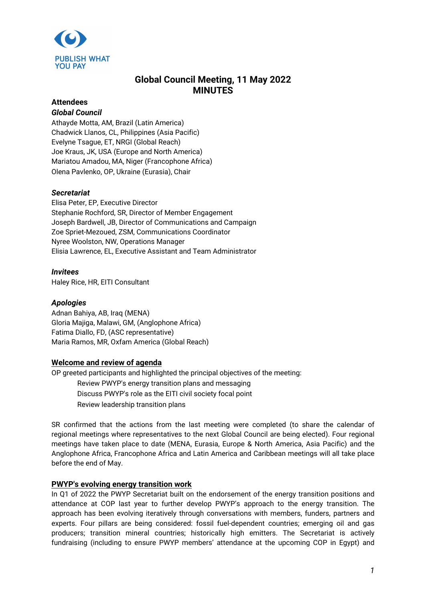

# **Global Council Meeting, 11 May 2022 MINUTES**

## **Attendees**

## *Global Council*

Athayde Motta, AM, Brazil (Latin America) Chadwick Llanos, CL, Philippines (Asia Pacific) Evelyne Tsague, ET, NRGI (Global Reach) Joe Kraus, JK, USA (Europe and North America) Mariatou Amadou, MA, Niger (Francophone Africa) Olena Pavlenko, OP, Ukraine (Eurasia), Chair

## *Secretariat*

Elisa Peter, EP, Executive Director Stephanie Rochford, SR, Director of Member Engagement Joseph Bardwell, JB, Director of Communications and Campaign Zoe Spriet-Mezoued, ZSM, Communications Coordinator Nyree Woolston, NW, Operations Manager Elisia Lawrence, EL, Executive Assistant and Team Administrator

## *Invitees*

Haley Rice, HR, EITI Consultant

## *Apologies*

Adnan Bahiya, AB, Iraq (MENA) Gloria Majiga, Malawi, GM, (Anglophone Africa) Fatima Diallo, FD, (ASC representative) Maria Ramos, MR, Oxfam America (Global Reach)

## **Welcome and review of agenda**

OP greeted participants and highlighted the principal objectives of the meeting: Review PWYP's energy transition plans and messaging Discuss PWYP's role as the EITI civil society focal point Review leadership transition plans

SR confirmed that the actions from the last meeting were completed (to share the calendar of regional meetings where representatives to the next Global Council are being elected). Four regional meetings have taken place to date (MENA, Eurasia, Europe & North America, Asia Pacific) and the Anglophone Africa, Francophone Africa and Latin America and Caribbean meetings will all take place before the end of May.

## **PWYP's evolving energy transition work**

In Q1 of 2022 the PWYP Secretariat built on the endorsement of the energy transition positions and attendance at COP last year to further develop PWYP's approach to the energy transition. The approach has been evolving iteratively through conversations with members, funders, partners and experts. Four pillars are being considered: fossil fuel-dependent countries; emerging oil and gas producers; transition mineral countries; historically high emitters. The Secretariat is actively fundraising (including to ensure PWYP members' attendance at the upcoming COP in Egypt) and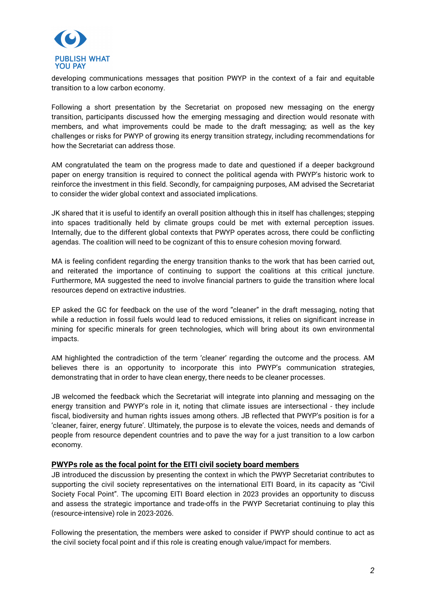

developing communications messages that position PWYP in the context of a fair and equitable transition to a low carbon economy.

Following a short presentation by the Secretariat on proposed new messaging on the energy transition, participants discussed how the emerging messaging and direction would resonate with members, and what improvements could be made to the draft messaging; as well as the key challenges or risks for PWYP of growing its energy transition strategy, including recommendations for how the Secretariat can address those.

AM congratulated the team on the progress made to date and questioned if a deeper background paper on energy transition is required to connect the political agenda with PWYP's historic work to reinforce the investment in this field. Secondly, for campaigning purposes, AM advised the Secretariat to consider the wider global context and associated implications.

JK shared that it is useful to identify an overall position although this in itself has challenges; stepping into spaces traditionally held by climate groups could be met with external perception issues. Internally, due to the different global contexts that PWYP operates across, there could be conflicting agendas. The coalition will need to be cognizant of this to ensure cohesion moving forward.

MA is feeling confident regarding the energy transition thanks to the work that has been carried out, and reiterated the importance of continuing to support the coalitions at this critical juncture. Furthermore, MA suggested the need to involve financial partners to guide the transition where local resources depend on extractive industries.

EP asked the GC for feedback on the use of the word "cleaner" in the draft messaging, noting that while a reduction in fossil fuels would lead to reduced emissions, it relies on significant increase in mining for specific minerals for green technologies, which will bring about its own environmental impacts.

AM highlighted the contradiction of the term 'cleaner' regarding the outcome and the process. AM believes there is an opportunity to incorporate this into PWYP's communication strategies, demonstrating that in order to have clean energy, there needs to be cleaner processes.

JB welcomed the feedback which the Secretariat will integrate into planning and messaging on the energy transition and PWYP's role in it, noting that climate issues are intersectional - they include fiscal, biodiversity and human rights issues among others. JB reflected that PWYP's position is for a 'cleaner, fairer, energy future'. Ultimately, the purpose is to elevate the voices, needs and demands of people from resource dependent countries and to pave the way for a just transition to a low carbon economy.

#### **PWYPs role as the focal point for the EITI civil society board members**

JB introduced the discussion by presenting the context in which the PWYP Secretariat contributes to supporting the civil society representatives on the international EITI Board, in its capacity as "Civil Society Focal Point". The upcoming EITI Board election in 2023 provides an opportunity to discuss and assess the strategic importance and trade-offs in the PWYP Secretariat continuing to play this (resource-intensive) role in 2023-2026.

Following the presentation, the members were asked to consider if PWYP should continue to act as the civil society focal point and if this role is creating enough value/impact for members.